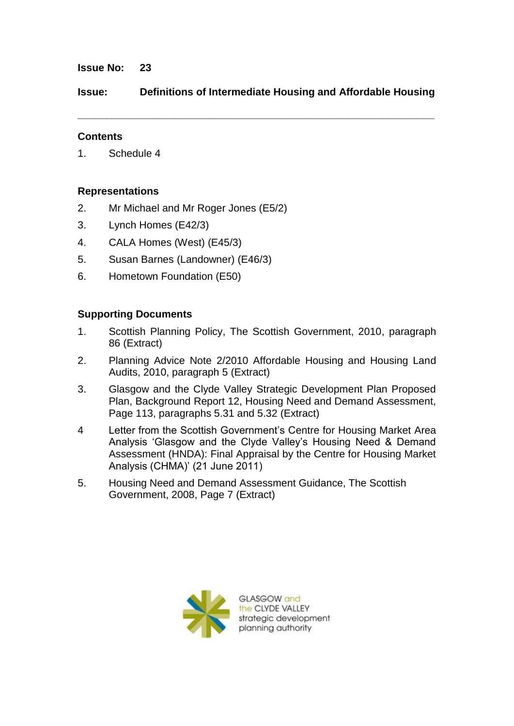## **Issue No: 23**

**Issue: Definitions of Intermediate Housing and Affordable Housing**

**\_\_\_\_\_\_\_\_\_\_\_\_\_\_\_\_\_\_\_\_\_\_\_\_\_\_\_\_\_\_\_\_\_\_\_\_\_\_\_\_\_\_\_\_\_\_\_\_\_\_\_\_\_\_\_\_\_\_\_\_\_\_**

## **Contents**

1. Schedule 4

# **Representations**

- 2. Mr Michael and Mr Roger Jones (E5/2)
- 3. Lynch Homes (E42/3)
- 4. CALA Homes (West) (E45/3)
- 5. Susan Barnes (Landowner) (E46/3)
- 6. Hometown Foundation (E50)

# **Supporting Documents**

- 1. Scottish Planning Policy, The Scottish Government, 2010, paragraph 86 (Extract)
- 2. Planning Advice Note 2/2010 Affordable Housing and Housing Land Audits, 2010, paragraph 5 (Extract)
- 3. Glasgow and the Clyde Valley Strategic Development Plan Proposed Plan, Background Report 12, Housing Need and Demand Assessment, Page 113, paragraphs 5.31 and 5.32 (Extract)
- 4 Letter from the Scottish Government"s Centre for Housing Market Area Analysis "Glasgow and the Clyde Valley"s Housing Need & Demand Assessment (HNDA): Final Appraisal by the Centre for Housing Market Analysis (CHMA)" (21 June 2011)
- 5. Housing Need and Demand Assessment Guidance, The Scottish Government, 2008, Page 7 (Extract)

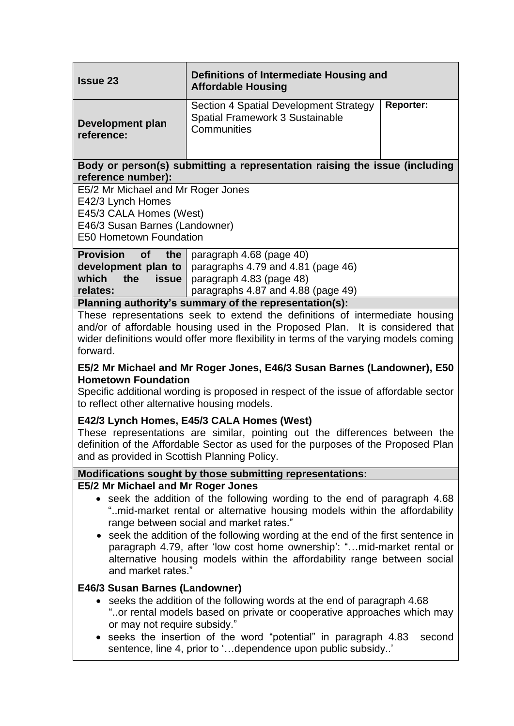| <b>Issue 23</b>                                                                                                                                                                                                                                                                                                                                                                                                                                                                                                | Definitions of Intermediate Housing and<br><b>Affordable Housing</b>                            |                  |
|----------------------------------------------------------------------------------------------------------------------------------------------------------------------------------------------------------------------------------------------------------------------------------------------------------------------------------------------------------------------------------------------------------------------------------------------------------------------------------------------------------------|-------------------------------------------------------------------------------------------------|------------------|
| <b>Development plan</b><br>reference:                                                                                                                                                                                                                                                                                                                                                                                                                                                                          | Section 4 Spatial Development Strategy<br><b>Spatial Framework 3 Sustainable</b><br>Communities | <b>Reporter:</b> |
| Body or person(s) submitting a representation raising the issue (including<br>reference number):                                                                                                                                                                                                                                                                                                                                                                                                               |                                                                                                 |                  |
| E5/2 Mr Michael and Mr Roger Jones<br>E42/3 Lynch Homes<br>E45/3 CALA Homes (West)<br>E46/3 Susan Barnes (Landowner)<br><b>E50 Hometown Foundation</b>                                                                                                                                                                                                                                                                                                                                                         |                                                                                                 |                  |
| <b>Provision</b><br><b>of</b><br>the<br>development plan to<br>which<br>the<br><b>issue</b>                                                                                                                                                                                                                                                                                                                                                                                                                    | paragraph 4.68 (page 40)<br>paragraphs 4.79 and 4.81 (page 46)<br>paragraph 4.83 (page 48)      |                  |
| relates:                                                                                                                                                                                                                                                                                                                                                                                                                                                                                                       | paragraphs 4.87 and 4.88 (page 49)                                                              |                  |
| Planning authority's summary of the representation(s):                                                                                                                                                                                                                                                                                                                                                                                                                                                         |                                                                                                 |                  |
| These representations seek to extend the definitions of intermediate housing<br>and/or of affordable housing used in the Proposed Plan. It is considered that<br>wider definitions would offer more flexibility in terms of the varying models coming<br>forward.                                                                                                                                                                                                                                              |                                                                                                 |                  |
| E5/2 Mr Michael and Mr Roger Jones, E46/3 Susan Barnes (Landowner), E50<br><b>Hometown Foundation</b><br>Specific additional wording is proposed in respect of the issue of affordable sector<br>to reflect other alternative housing models.                                                                                                                                                                                                                                                                  |                                                                                                 |                  |
| E42/3 Lynch Homes, E45/3 CALA Homes (West)<br>These representations are similar, pointing out the differences between the<br>definition of the Affordable Sector as used for the purposes of the Proposed Plan<br>and as provided in Scottish Planning Policy.                                                                                                                                                                                                                                                 |                                                                                                 |                  |
| Modifications sought by those submitting representations:                                                                                                                                                                                                                                                                                                                                                                                                                                                      |                                                                                                 |                  |
| <b>E5/2 Mr Michael and Mr Roger Jones</b><br>• seek the addition of the following wording to the end of paragraph 4.68<br>"mid-market rental or alternative housing models within the affordability<br>range between social and market rates."<br>• seek the addition of the following wording at the end of the first sentence in<br>paragraph 4.79, after 'low cost home ownership': "mid-market rental or<br>alternative housing models within the affordability range between social<br>and market rates." |                                                                                                 |                  |
| E46/3 Susan Barnes (Landowner)<br>• seeks the addition of the following words at the end of paragraph 4.68<br>"or rental models based on private or cooperative approaches which may<br>or may not require subsidy."<br>• seeks the insertion of the word "potential" in paragraph 4.83<br>second<br>sentence, line 4, prior to 'dependence upon public subsidy'                                                                                                                                               |                                                                                                 |                  |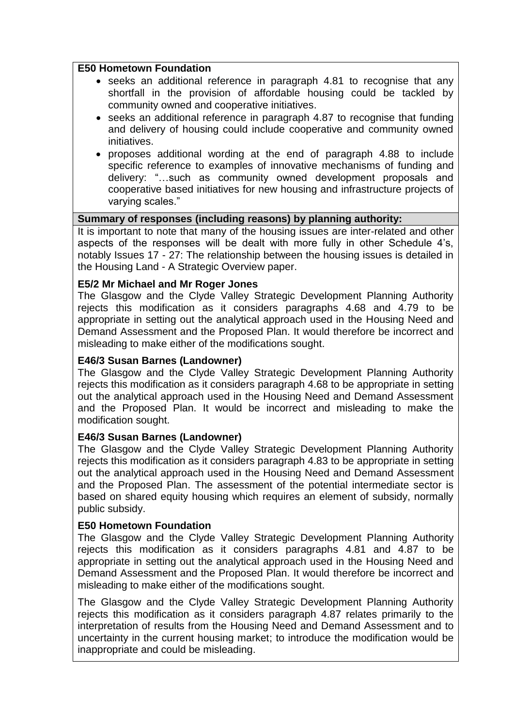#### **E50 Hometown Foundation**

- seeks an additional reference in paragraph 4.81 to recognise that any shortfall in the provision of affordable housing could be tackled by community owned and cooperative initiatives.
- seeks an additional reference in paragraph 4.87 to recognise that funding and delivery of housing could include cooperative and community owned initiatives.
- proposes additional wording at the end of paragraph 4.88 to include specific reference to examples of innovative mechanisms of funding and delivery: "…such as community owned development proposals and cooperative based initiatives for new housing and infrastructure projects of varying scales."

## **Summary of responses (including reasons) by planning authority:**

It is important to note that many of the housing issues are inter-related and other aspects of the responses will be dealt with more fully in other Schedule 4"s, notably Issues 17 - 27: The relationship between the housing issues is detailed in the Housing Land - A Strategic Overview paper.

#### **E5/2 Mr Michael and Mr Roger Jones**

The Glasgow and the Clyde Valley Strategic Development Planning Authority rejects this modification as it considers paragraphs 4.68 and 4.79 to be appropriate in setting out the analytical approach used in the Housing Need and Demand Assessment and the Proposed Plan. It would therefore be incorrect and misleading to make either of the modifications sought.

### **E46/3 Susan Barnes (Landowner)**

The Glasgow and the Clyde Valley Strategic Development Planning Authority rejects this modification as it considers paragraph 4.68 to be appropriate in setting out the analytical approach used in the Housing Need and Demand Assessment and the Proposed Plan. It would be incorrect and misleading to make the modification sought.

## **E46/3 Susan Barnes (Landowner)**

The Glasgow and the Clyde Valley Strategic Development Planning Authority rejects this modification as it considers paragraph 4.83 to be appropriate in setting out the analytical approach used in the Housing Need and Demand Assessment and the Proposed Plan. The assessment of the potential intermediate sector is based on shared equity housing which requires an element of subsidy, normally public subsidy.

#### **E50 Hometown Foundation**

The Glasgow and the Clyde Valley Strategic Development Planning Authority rejects this modification as it considers paragraphs 4.81 and 4.87 to be appropriate in setting out the analytical approach used in the Housing Need and Demand Assessment and the Proposed Plan. It would therefore be incorrect and misleading to make either of the modifications sought.

The Glasgow and the Clyde Valley Strategic Development Planning Authority rejects this modification as it considers paragraph 4.87 relates primarily to the interpretation of results from the Housing Need and Demand Assessment and to uncertainty in the current housing market; to introduce the modification would be inappropriate and could be misleading.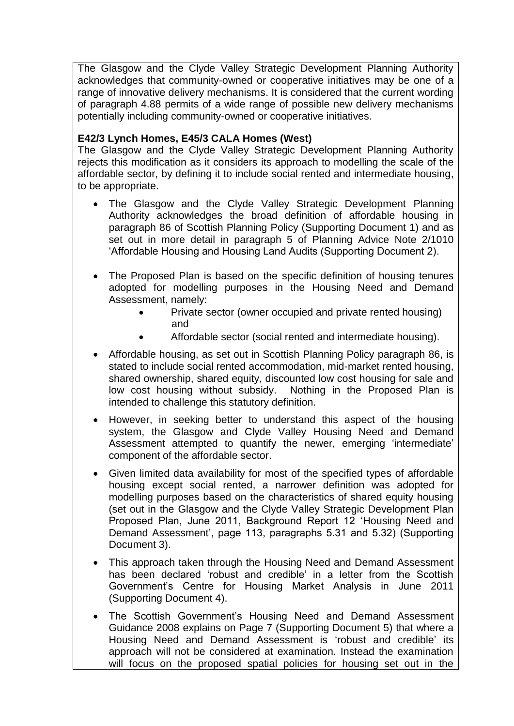The Glasgow and the Clyde Valley Strategic Development Planning Authority acknowledges that community-owned or cooperative initiatives may be one of a range of innovative delivery mechanisms. It is considered that the current wording of paragraph 4.88 permits of a wide range of possible new delivery mechanisms potentially including community-owned or cooperative initiatives.

# **E42/3 Lynch Homes, E45/3 CALA Homes (West)**

The Glasgow and the Clyde Valley Strategic Development Planning Authority rejects this modification as it considers its approach to modelling the scale of the affordable sector, by defining it to include social rented and intermediate housing, to be appropriate.

- The Glasgow and the Clyde Valley Strategic Development Planning Authority acknowledges the broad definition of affordable housing in paragraph 86 of Scottish Planning Policy (Supporting Document 1) and as set out in more detail in paragraph 5 of Planning Advice Note 2/1010 "Affordable Housing and Housing Land Audits (Supporting Document 2).
- The Proposed Plan is based on the specific definition of housing tenures adopted for modelling purposes in the Housing Need and Demand Assessment, namely:
	- Private sector (owner occupied and private rented housing) and
	- Affordable sector (social rented and intermediate housing).
- Affordable housing, as set out in Scottish Planning Policy paragraph 86, is stated to include social rented accommodation, mid-market rented housing, shared ownership, shared equity, discounted low cost housing for sale and low cost housing without subsidy. Nothing in the Proposed Plan is intended to challenge this statutory definition.
- However, in seeking better to understand this aspect of the housing system, the Glasgow and Clyde Valley Housing Need and Demand Assessment attempted to quantify the newer, emerging "intermediate" component of the affordable sector.
- Given limited data availability for most of the specified types of affordable housing except social rented, a narrower definition was adopted for modelling purposes based on the characteristics of shared equity housing (set out in the Glasgow and the Clyde Valley Strategic Development Plan Proposed Plan, June 2011, Background Report 12 "Housing Need and Demand Assessment", page 113, paragraphs 5.31 and 5.32) (Supporting Document 3).
- This approach taken through the Housing Need and Demand Assessment has been declared 'robust and credible' in a letter from the Scottish Government"s Centre for Housing Market Analysis in June 2011 (Supporting Document 4).
- The Scottish Government's Housing Need and Demand Assessment Guidance 2008 explains on Page 7 (Supporting Document 5) that where a Housing Need and Demand Assessment is "robust and credible" its approach will not be considered at examination. Instead the examination will focus on the proposed spatial policies for housing set out in the